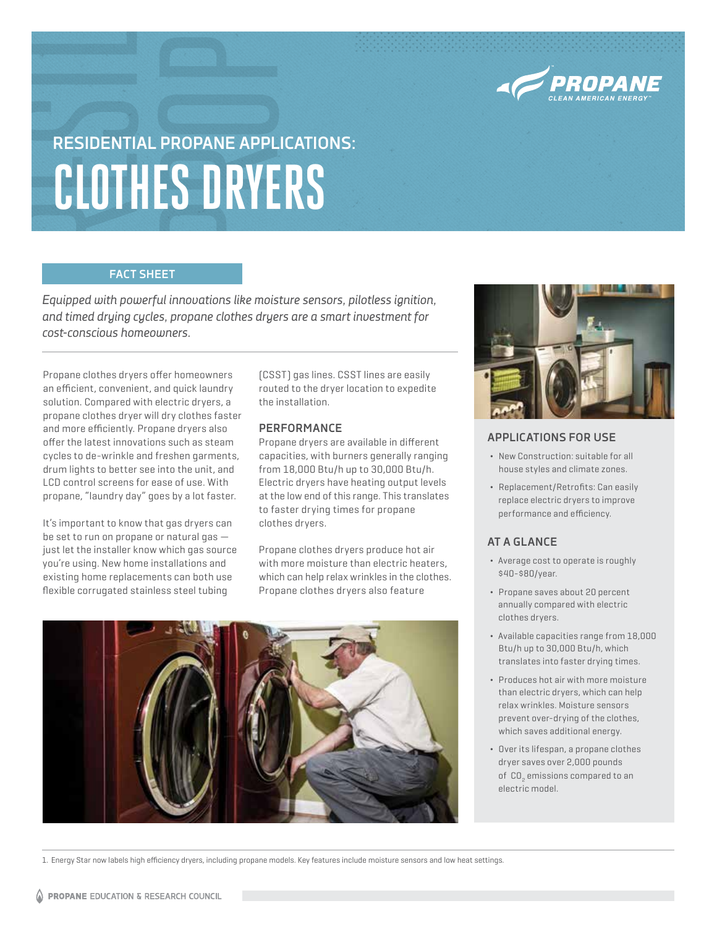

# **RESIDENTIAL PROPANE APPLICATIONS: CLOTHES DRYERS**

# **FACT SHEET**

*Equipped with powerful innovations like moisture sensors, pilotless ignition, and timed drying cycles, propane clothes dryers are a smart investment for cost-conscious homeowners.* 

Propane clothes dryers offer homeowners an efficient, convenient, and quick laundry solution. Compared with electric dryers, a propane clothes dryer will dry clothes faster and more efficiently. Propane dryers also offer the latest innovations such as steam cycles to de-wrinkle and freshen garments, drum lights to better see into the unit, and LCD control screens for ease of use. With propane, "laundry day" goes by a lot faster.

It's important to know that gas dryers can be set to run on propane or natural gas just let the installer know which gas source you're using. New home installations and existing home replacements can both use flexible corrugated stainless steel tubing

(CSST) gas lines. CSST lines are easily routed to the dryer location to expedite the installation.

# **PERFORMANCE**

Propane dryers are available in different capacities, with burners generally ranging from 18,000 Btu/h up to 30,000 Btu/h. Electric dryers have heating output levels at the low end of this range. This translates to faster drying times for propane clothes dryers.

Propane clothes dryers produce hot air with more moisture than electric heaters, which can help relax wrinkles in the clothes. Propane clothes dryers also feature





# **APPLICATIONS FOR USE**

- ¬ New Construction: suitable for all house styles and climate zones.
- ¬ Replacement/Retrofits: Can easily replace electric dryers to improve performance and efficiency.

# **AT A GLANCE**

- ¬ Average cost to operate is roughly \$40-\$80/year.
- ¬ Propane saves about 20 percent annually compared with electric clothes dryers.
- ¬ Available capacities range from 18,000 Btu/h up to 30,000 Btu/h, which translates into faster drying times.
- ¬ Produces hot air with more moisture than electric dryers, which can help relax wrinkles. Moisture sensors prevent over-drying of the clothes, which saves additional energy.
- ¬ Over its lifespan, a propane clothes dryer saves over 2,000 pounds of CO<sub>2</sub> emissions compared to an electric model.

1. Energy Star now labels high efficiency dryers, including propane models. Key features include moisture sensors and low heat settings.